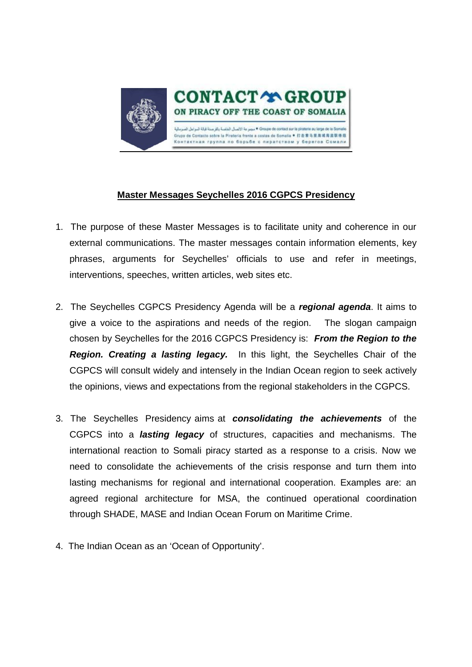

## **Master Messages Seychelles 2016 CGPCS Presidency**

- 1. The purpose of these Master Messages is to facilitate unity and coherence in our external communications. The master messages contain information elements, key phrases, arguments for Seychelles' officials to use and refer in meetings, interventions, speeches, written articles, web sites etc.
- 2. The Seychelles CGPCS Presidency Agenda will be a *regional agenda*. It aims to give a voice to the aspirations and needs of the region. The slogan campaign chosen by Seychelles for the 2016 CGPCS Presidency is: *From the Region to the Region. Creating a lasting legacy.* In this light, the Seychelles Chair of the CGPCS will consult widely and intensely in the Indian Ocean region to seek actively the opinions, views and expectations from the regional stakeholders in the CGPCS.
- 3. The Seychelles Presidency aims at *consolidating the achievements* of the CGPCS into a *lasting legacy* of structures, capacities and mechanisms. The international reaction to Somali piracy started as a response to a crisis. Now we need to consolidate the achievements of the crisis response and turn them into lasting mechanisms for regional and international cooperation. Examples are: an agreed regional architecture for MSA, the continued operational coordination through SHADE, MASE and Indian Ocean Forum on Maritime Crime.
- 4. The Indian Ocean as an 'Ocean of Opportunity'.